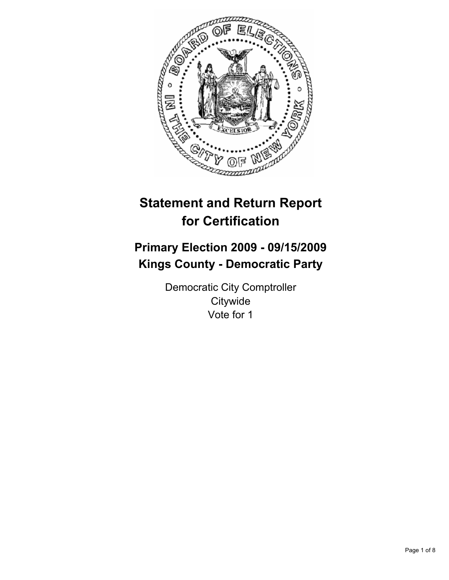

# **Statement and Return Report for Certification**

# **Primary Election 2009 - 09/15/2009 Kings County - Democratic Party**

Democratic City Comptroller **Citywide** Vote for 1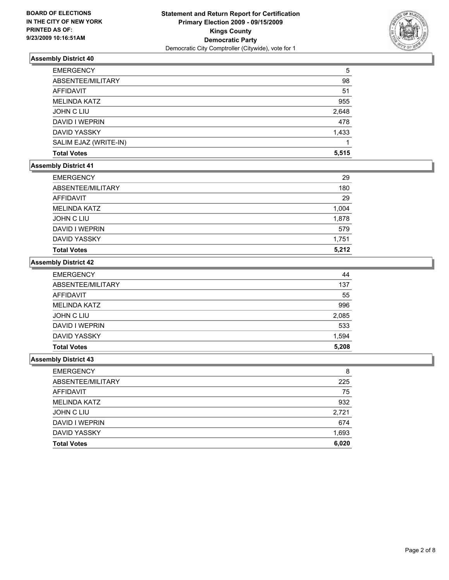

| <b>EMERGENCY</b>      | 5     |
|-----------------------|-------|
| ABSENTEE/MILITARY     | 98    |
| AFFIDAVIT             | 51    |
| <b>MELINDA KATZ</b>   | 955   |
| JOHN C LIU            | 2,648 |
| DAVID I WEPRIN        | 478   |
| <b>DAVID YASSKY</b>   | 1,433 |
| SALIM EJAZ (WRITE-IN) |       |
| <b>Total Votes</b>    | 5.515 |

#### **Assembly District 41**

| <b>EMERGENCY</b>    | 29    |
|---------------------|-------|
| ABSENTEE/MILITARY   | 180   |
| <b>AFFIDAVIT</b>    | 29    |
| <b>MELINDA KATZ</b> | 1,004 |
| JOHN C LIU          | 1,878 |
| DAVID I WEPRIN      | 579   |
| <b>DAVID YASSKY</b> | 1,751 |
| <b>Total Votes</b>  | 5,212 |

#### **Assembly District 42**

| <b>EMERGENCY</b>    | 44    |
|---------------------|-------|
| ABSENTEE/MILITARY   | 137   |
| <b>AFFIDAVIT</b>    | 55    |
| <b>MELINDA KATZ</b> | 996   |
| <b>JOHN C LIU</b>   | 2,085 |
| DAVID I WEPRIN      | 533   |
| <b>DAVID YASSKY</b> | 1,594 |
| <b>Total Votes</b>  | 5,208 |

| <b>EMERGENCY</b>    | 8     |
|---------------------|-------|
| ABSENTEE/MILITARY   | 225   |
| AFFIDAVIT           | 75    |
| <b>MELINDA KATZ</b> | 932   |
| <b>JOHN C LIU</b>   | 2,721 |
| DAVID I WEPRIN      | 674   |
| DAVID YASSKY        | 1,693 |
| <b>Total Votes</b>  | 6,020 |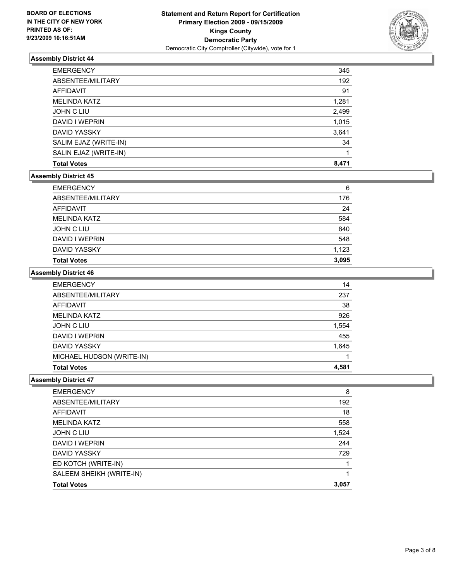

| <b>EMERGENCY</b>      | 345   |
|-----------------------|-------|
| ABSENTEE/MILITARY     | 192   |
| AFFIDAVIT             | 91    |
| <b>MELINDA KATZ</b>   | 1,281 |
| <b>JOHN C LIU</b>     | 2,499 |
| DAVID I WEPRIN        | 1,015 |
| DAVID YASSKY          | 3,641 |
| SALIM EJAZ (WRITE-IN) | 34    |
| SALIN EJAZ (WRITE-IN) |       |
| <b>Total Votes</b>    | 8,471 |

### **Assembly District 45**

| <b>Total Votes</b>  | 3,095 |
|---------------------|-------|
| <b>DAVID YASSKY</b> | 1,123 |
| DAVID I WEPRIN      | 548   |
| <b>JOHN C LIU</b>   | 840   |
| <b>MELINDA KATZ</b> | 584   |
| AFFIDAVIT           | 24    |
| ABSENTEE/MILITARY   | 176   |
| <b>EMERGENCY</b>    | 6     |

#### **Assembly District 46**

| <b>EMERGENCY</b>          | 14    |
|---------------------------|-------|
| ABSENTEE/MILITARY         | 237   |
| AFFIDAVIT                 | 38    |
| MELINDA KATZ              | 926   |
| <b>JOHN C LIU</b>         | 1,554 |
| DAVID I WEPRIN            | 455   |
| DAVID YASSKY              | 1,645 |
| MICHAEL HUDSON (WRITE-IN) |       |
| <b>Total Votes</b>        | 4.581 |

| <b>EMERGENCY</b>         | 8     |
|--------------------------|-------|
| ABSENTEE/MILITARY        | 192   |
| AFFIDAVIT                | 18    |
| <b>MELINDA KATZ</b>      | 558   |
| JOHN C LIU               | 1,524 |
| DAVID I WEPRIN           | 244   |
| <b>DAVID YASSKY</b>      | 729   |
| ED KOTCH (WRITE-IN)      |       |
| SALEEM SHEIKH (WRITE-IN) |       |
| <b>Total Votes</b>       | 3.057 |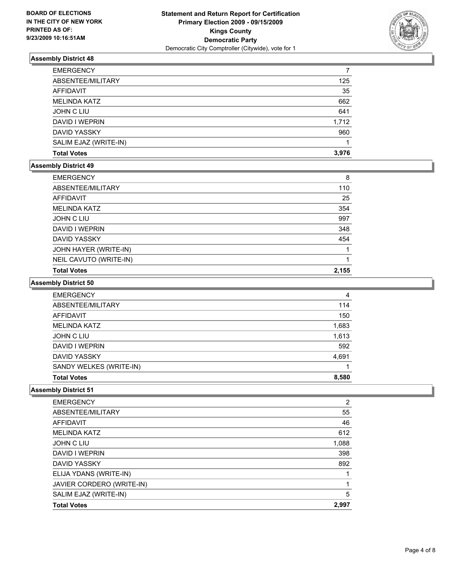

| <b>EMERGENCY</b>      |       |
|-----------------------|-------|
| ABSENTEE/MILITARY     | 125   |
| <b>AFFIDAVIT</b>      | 35    |
| <b>MELINDA KATZ</b>   | 662   |
| <b>JOHN C LIU</b>     | 641   |
| DAVID I WEPRIN        | 1,712 |
| <b>DAVID YASSKY</b>   | 960   |
| SALIM EJAZ (WRITE-IN) |       |
| <b>Total Votes</b>    | 3.976 |

#### **Assembly District 49**

| <b>EMERGENCY</b>       | 8     |
|------------------------|-------|
| ABSENTEE/MILITARY      | 110   |
| AFFIDAVIT              | 25    |
| <b>MELINDA KATZ</b>    | 354   |
| <b>JOHN C LIU</b>      | 997   |
| DAVID I WEPRIN         | 348   |
| <b>DAVID YASSKY</b>    | 454   |
| JOHN HAYER (WRITE-IN)  |       |
| NEIL CAVUTO (WRITE-IN) |       |
| <b>Total Votes</b>     | 2,155 |

# **Assembly District 50**

| <b>EMERGENCY</b>        | 4     |
|-------------------------|-------|
| ABSENTEE/MILITARY       | 114   |
| <b>AFFIDAVIT</b>        | 150   |
| <b>MELINDA KATZ</b>     | 1,683 |
| <b>JOHN C LIU</b>       | 1,613 |
| DAVID I WEPRIN          | 592   |
| <b>DAVID YASSKY</b>     | 4,691 |
| SANDY WELKES (WRITE-IN) |       |
| <b>Total Votes</b>      | 8.580 |

| <b>EMERGENCY</b>          | $\overline{2}$ |
|---------------------------|----------------|
| ABSENTEE/MILITARY         | 55             |
| AFFIDAVIT                 | 46             |
| <b>MELINDA KATZ</b>       | 612            |
| <b>JOHN C LIU</b>         | 1,088          |
| DAVID I WEPRIN            | 398            |
| <b>DAVID YASSKY</b>       | 892            |
| ELIJA YDANS (WRITE-IN)    |                |
| JAVIER CORDERO (WRITE-IN) |                |
| SALIM EJAZ (WRITE-IN)     | 5              |
| <b>Total Votes</b>        | 2,997          |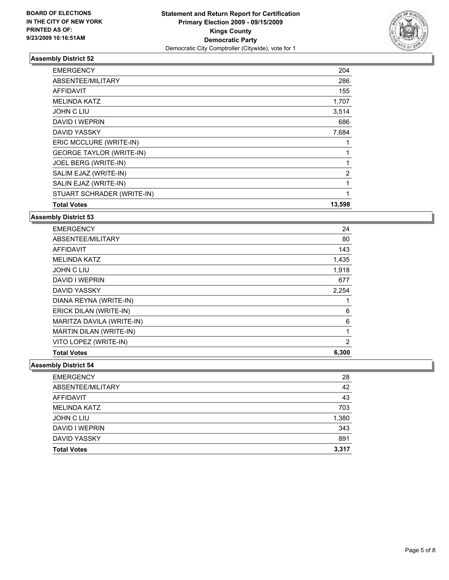

| <b>EMERGENCY</b>                | 204            |
|---------------------------------|----------------|
| ABSENTEE/MILITARY               | 286            |
| <b>AFFIDAVIT</b>                | 155            |
| <b>MELINDA KATZ</b>             | 1,707          |
| <b>JOHN C LIU</b>               | 3,514          |
| DAVID I WEPRIN                  | 686            |
| DAVID YASSKY                    | 7,684          |
| ERIC MCCLURE (WRITE-IN)         | 1              |
| <b>GEORGE TAYLOR (WRITE-IN)</b> | 1              |
| JOEL BERG (WRITE-IN)            | 1              |
| SALIM EJAZ (WRITE-IN)           | $\overline{2}$ |
| SALIN EJAZ (WRITE-IN)           | $\mathbf{1}$   |
| STUART SCHRADER (WRITE-IN)      | 1              |
| <b>Total Votes</b>              | 13,598         |

**Assembly District 53**

| <b>EMERGENCY</b>          | 24    |
|---------------------------|-------|
| ABSENTEE/MILITARY         | 80    |
| AFFIDAVIT                 | 143   |
| <b>MELINDA KATZ</b>       | 1,435 |
| JOHN C LIU                | 1,918 |
| DAVID I WEPRIN            | 677   |
| <b>DAVID YASSKY</b>       | 2,254 |
| DIANA REYNA (WRITE-IN)    | 1     |
| ERICK DILAN (WRITE-IN)    | 6     |
| MARITZA DAVILA (WRITE-IN) | 6     |
| MARTIN DILAN (WRITE-IN)   | 1     |
| VITO LOPEZ (WRITE-IN)     | 2     |
| <b>Total Votes</b>        | 6,300 |

| <b>Total Votes</b>  | 3,317 |
|---------------------|-------|
| <b>DAVID YASSKY</b> | 891   |
| DAVID I WEPRIN      | 343   |
| JOHN C LIU          | 1,380 |
| <b>MELINDA KATZ</b> | 703   |
| AFFIDAVIT           | 43    |
| ABSENTEE/MILITARY   | 42    |
| <b>EMERGENCY</b>    | 28    |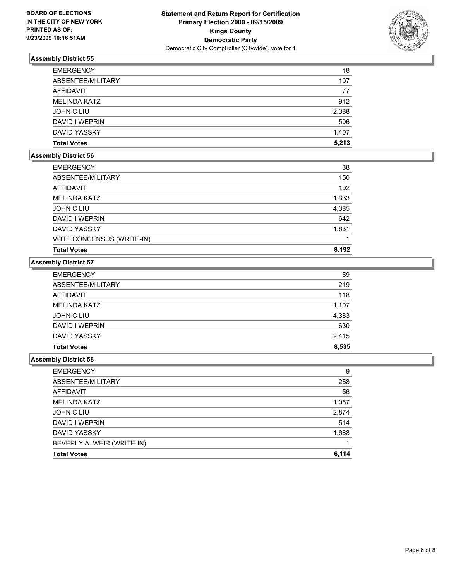

| <b>EMERGENCY</b>   | 18    |
|--------------------|-------|
| ABSENTEE/MILITARY  | 107   |
| AFFIDAVIT          | 77    |
| MELINDA KATZ       | 912   |
| JOHN C LIU         | 2,388 |
| DAVID I WEPRIN     | 506   |
| DAVID YASSKY       | 1,407 |
| <b>Total Votes</b> | 5.213 |

## **Assembly District 56**

| <b>EMERGENCY</b>          | 38    |
|---------------------------|-------|
| ABSENTEE/MILITARY         | 150   |
| AFFIDAVIT                 | 102   |
| <b>MELINDA KATZ</b>       | 1,333 |
| JOHN C LIU                | 4,385 |
| DAVID I WEPRIN            | 642   |
| <b>DAVID YASSKY</b>       | 1,831 |
| VOTE CONCENSUS (WRITE-IN) |       |
| <b>Total Votes</b>        | 8,192 |

# **Assembly District 57**

| <b>Total Votes</b>  | 8,535 |
|---------------------|-------|
| DAVID YASSKY        | 2,415 |
| DAVID I WEPRIN      | 630   |
| <b>JOHN C LIU</b>   | 4,383 |
| <b>MELINDA KATZ</b> | 1,107 |
| AFFIDAVIT           | 118   |
| ABSENTEE/MILITARY   | 219   |
| <b>EMERGENCY</b>    | 59    |

| <b>EMERGENCY</b>           | 9     |
|----------------------------|-------|
| ABSENTEE/MILITARY          | 258   |
| AFFIDAVIT                  | 56    |
| <b>MELINDA KATZ</b>        | 1,057 |
| JOHN C LIU                 | 2,874 |
| DAVID I WEPRIN             | 514   |
| <b>DAVID YASSKY</b>        | 1,668 |
| BEVERLY A. WEIR (WRITE-IN) |       |
| <b>Total Votes</b>         | 6,114 |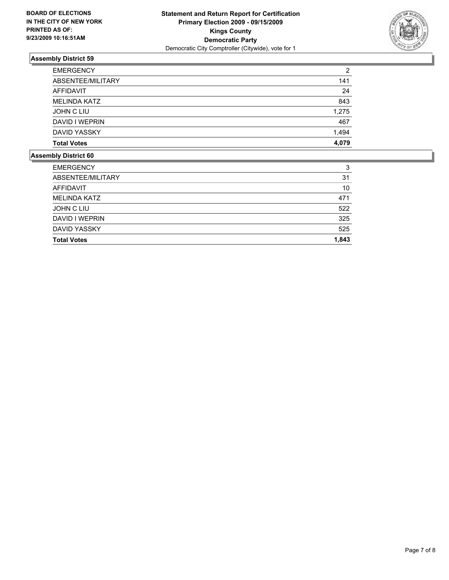

| <b>EMERGENCY</b>    | 2     |
|---------------------|-------|
| ABSENTEE/MILITARY   | 141   |
| <b>AFFIDAVIT</b>    | 24    |
| <b>MELINDA KATZ</b> | 843   |
| JOHN C LIU          | 1,275 |
| DAVID I WEPRIN      | 467   |
| <b>DAVID YASSKY</b> | 1,494 |
| <b>Total Votes</b>  | 4.079 |

| <b>EMERGENCY</b>    | 3     |
|---------------------|-------|
| ABSENTEE/MILITARY   | 31    |
| AFFIDAVIT           | 10    |
| <b>MELINDA KATZ</b> | 471   |
| JOHN C LIU          | 522   |
| DAVID I WEPRIN      | 325   |
| <b>DAVID YASSKY</b> | 525   |
| <b>Total Votes</b>  | 1,843 |